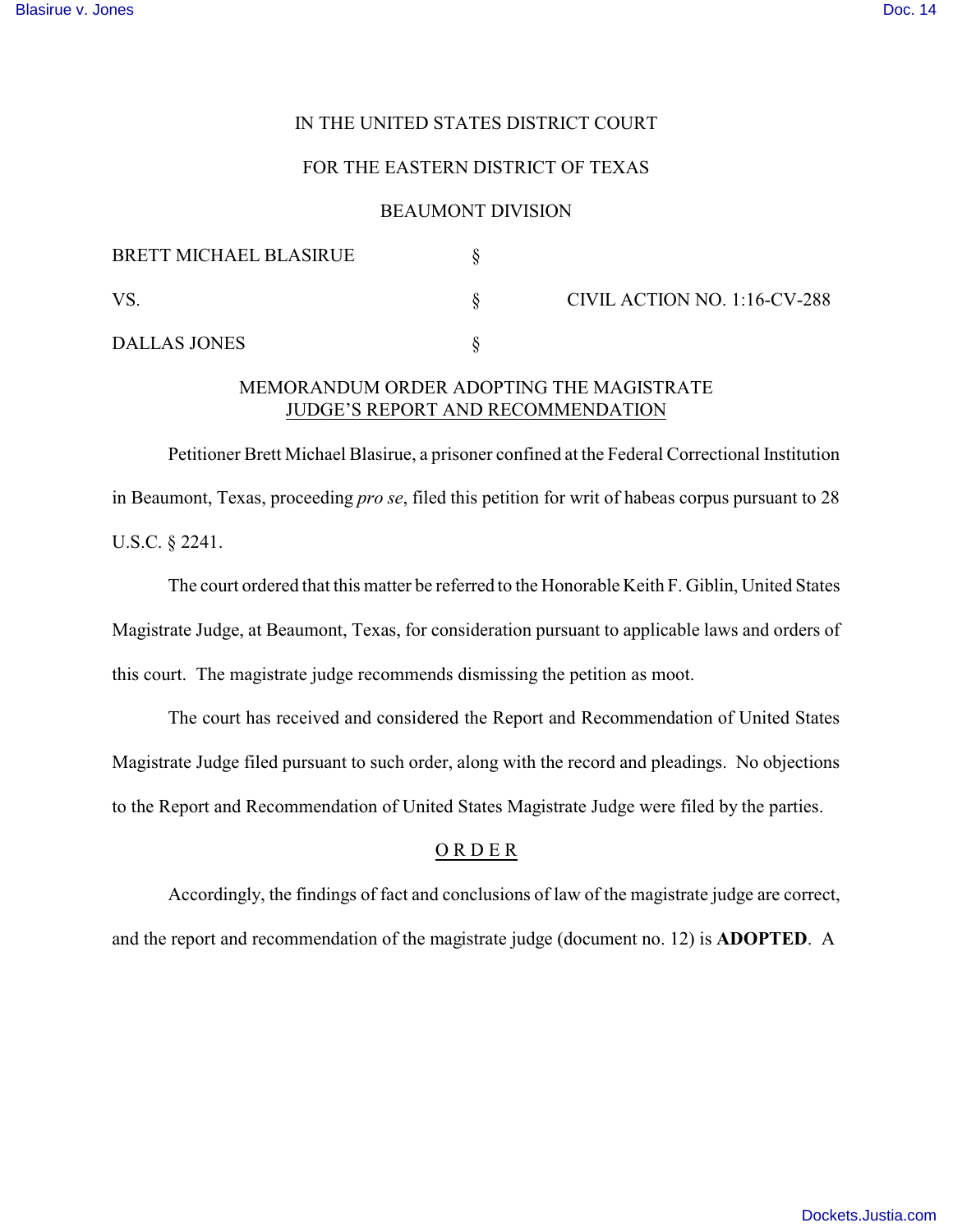## IN THE UNITED STATES DISTRICT COURT

## FOR THE EASTERN DISTRICT OF TEXAS

#### BEAUMONT DIVISION

| <b>BRETT MICHAEL BLASIRUE</b> |                              |
|-------------------------------|------------------------------|
| VS                            | CIVIL ACTION NO. 1:16-CV-288 |
| <b>DALLAS JONES</b>           |                              |

# MEMORANDUM ORDER ADOPTING THE MAGISTRATE JUDGE'S REPORT AND RECOMMENDATION

Petitioner Brett Michael Blasirue, a prisoner confined at the Federal Correctional Institution in Beaumont, Texas, proceeding *pro se*, filed this petition for writ of habeas corpus pursuant to 28 U.S.C. § 2241.

The court ordered that this matter be referred to the Honorable Keith F. Giblin, United States Magistrate Judge, at Beaumont, Texas, for consideration pursuant to applicable laws and orders of this court. The magistrate judge recommends dismissing the petition as moot.

The court has received and considered the Report and Recommendation of United States Magistrate Judge filed pursuant to such order, along with the record and pleadings. No objections to the Report and Recommendation of United States Magistrate Judge were filed by the parties.

## O R D E R

Accordingly, the findings of fact and conclusions of law of the magistrate judge are correct, and the report and recommendation of the magistrate judge (document no. 12) is **ADOPTED**. A